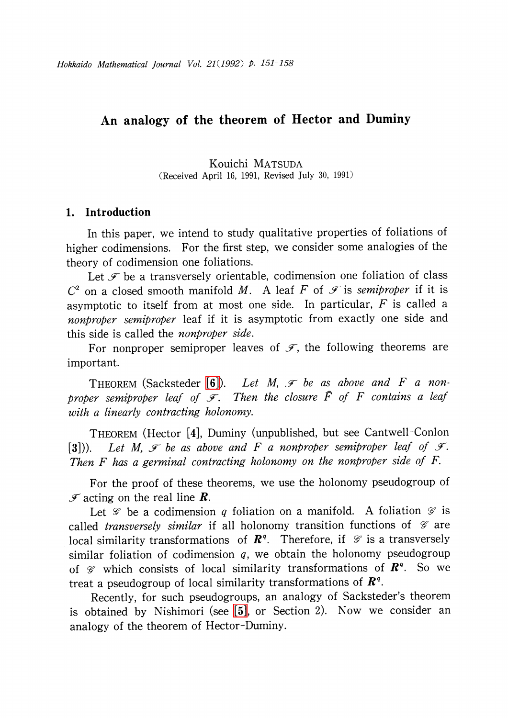# An analogy of the theorem of Hector and Duminy

Kouichi MATSUDA (Received April 16, 1991, Revised July 30, 1991)

### 1. Introduction

In this paper, we intend to study qualitative properties of foliations of higher codimensions. For the first step, we consider some analogies of the theory of codimension one foliations.

Let  $\mathcal{F}$  be a transversely orientable, codimension one foliation of class  $C^{2}$  on a closed smooth manifold M. A leaf F of  $\mathcal{F}$  is semiproper if it is asymptotic to itself from at most one side. In particular, F is called a nonproper semiproper leaf if it is asymptotic from exactly one side and this side is called the nonproper side.

For nonproper semiproper leaves of  $\mathcal{F}$ , the following theorems are important.

THEOREM (Sacksteder [\[6\]\)](#page-7-0). Let M,  $\mathcal{F}$  be as above and F a nonproper semiproper leaf of  $\mathcal{F}$ . Then the closure  $\overline{F}$  of F contains a leaf with a linearly contracting holonomy.

THEOREM (Hector [4], Duminy (unpublished, but see Cantwell-Conlon [3])). Let M,  $\mathcal{F}$  be as above and F a nonproper semiproper leaf of  $\mathcal{F}$ . Then F has a germinal contracting holonomy on the nonproper side of F.

For the proof of these theorems, we use the holonomy pseudogroup of  $\mathscr{F}$  acting on the real line **R**.

Let  $\mathscr{G}$  be a codimension q foliation on a manifold. A foliation  $\mathscr{G}$  is called transversely similar if all holonomy transition functions of  $\mathcal{G}$  are local similarity transformations of  $\boldsymbol{R}^{q}$ . Therefore, if  $\mathscr{G}$  is a transversely similar foliation of codimension  $q$ , we obtain the holonomy pseudogroup of  $\mathscr{G}$  which consists of local similarity transformations of  $\boldsymbol{R}^{q}$ . So we treat a pseudogroup of local similarity transformations of  $\boldsymbol{R}^{q}.$ 

Recently, for such pseudogroups, an analogy of Sacksteder's theorem is obtained by Nishimori (see [\[5\],](#page-7-1) or Section 2). Now we consider an analogy of the theorem of Hector-Duminy.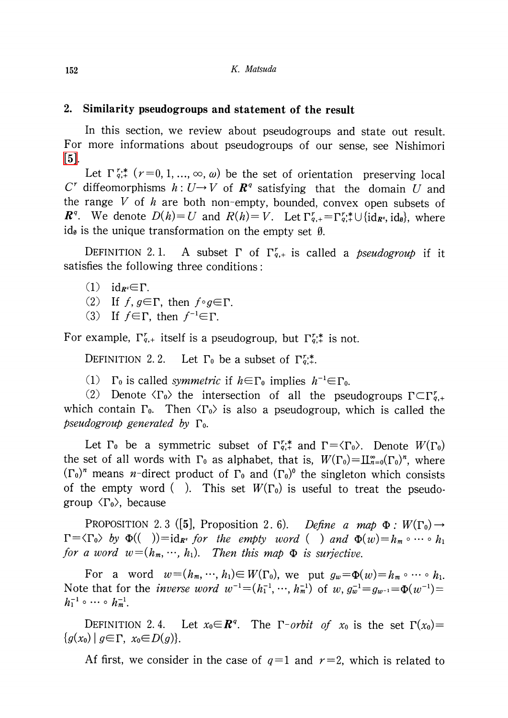# 2. Similarity pseudogroups and statement of the result

In this section, we review about pseudogroups and state out result. For more informations about pseudogroups of our sense, see Nishimori [\[5\].](#page-7-1)

Let  $\Gamma_{q,+}^{r,*}$   $(r=0,1, \ldots, \infty, \omega)$  be the set of orientation preserving local  $C^{r}$  diffeomorphisms  $h:U\rightarrow V$  of  $\mathbb{R}^{q}$  satisfying that the domain U and the range  $V$  of  $h$  are both non-empty, bounded, convex open subsets of  $\boldsymbol{R}^{q}$ . We denote  $D(h)=U$  and  $R(h)=V$ . Let  $\Gamma_{q,+}^{r}= \Gamma_{q,+}^{r,*}\cup\{\mathrm{id}_{\boldsymbol{R}^{q}}, \mathrm{id}_{\theta}\}\text{, where}$ id, is the unique transformation on the empty set  $\emptyset$ .

DEFINITION 2.1. A subset  $\Gamma$  of  $\Gamma_{q,+}^{r}$  is called a *pseudogroup* if it satisfies the following three conditions:

- (1)  $id_{R^{q}} \in \Gamma$ .
- (2) If  $f$ ,  $g\epsilon\Gamma$ , then  $f\circ g\epsilon\Gamma$ .
- (3) If  $f\in\Gamma$ , then  $f^{-1}\in\Gamma$ .

For example,  $\Gamma_{q,+}^{r}$  itself is a pseudogroup, but  $\Gamma_{q,+}^{r,*}$  is not.

DEFINITION 2.2. Let  $\Gamma_0$  be a subset of  $\Gamma_{q,+}^{r,*}$ .

(1)  $\Gamma_{0}$  is called symmetric if  $h \in \Gamma_{0}$  implies  $h^{-1}\in\Gamma_{0}$ .

(2) Denote  $\langle\Gamma_{0}\rangle$  the intersection of all the pseudogroups  $\Gamma\subset\Gamma_{q,+}^{r}$ which contain  $\Gamma_{0}$ . Then  $\langle\Gamma_{0}\rangle$  is also a pseudogroup, which is called the pseudogroup generated by  $\Gamma_{0}$ .

Let  $\Gamma_0$  be a symmetric subset of  $\Gamma_{q,+}^{r,*}$  and  $\Gamma=\langle\Gamma_{0}\rangle$ . Denote  $W(\Gamma_{0})$ the set of all words with  $\Gamma_{0}$  as alphabet, that is,  $W(\Gamma_{0}){=}\coprod_{n=0}^{\infty}(\Gamma_{0})^{n},$  where  $(\Gamma_{0})^{n}$  means *n*-direct product of  $\Gamma_{0}$  and  $(\Gamma_{0})^{0}$  the singleton which consists of the empty word (). This set  $W(\Gamma_{0})$  is useful to treat the pseudogroup  $\langle\Gamma_{0}\rangle,$  because

PROPOSITION 2.3 ([5], Proposition 2.6). Define a map  $\Phi: W(\Gamma_{0}) \rightarrow$  $\Gamma=\langle\Gamma_{0}\rangle$  by  $\Phi(( ))=id_{R^{q}}$  for the empty word ( ) and  $\Phi(w)=h_{m}\circ\cdots\circ h_{1}$ for a word  $w = (h_{m}, \cdots, h_{1})$ . Then this map  $\Phi$  is surjective.

For a word  $w=(h_{m},\cdots, h_{1})\in W(\Gamma_{0}),$  we put  $g_{w}=\Phi(w)=h_{m}\circ\cdots\circ h_{1}$ . Note that for the *inverse word*  $w^{-1}=(h_{1}^{-1},\cdots, h_{m}^{-1})$  of  $w, g_{w}^{-1}=g_{w^{-1}}=\Phi(w^{-1})=$  $h_{1}^{-1}\circ\cdots\circ\, h_{m}^{-1}.$ 

DEFINITION  $2.4$ . Let  $x_{0} \in \mathbb{R}^{q}$ . The  $\Gamma$ -orbit of  $x_{0}$  is the set  $\Gamma(x_{0})=$  $\{g(x_{0})|g\in\Gamma, x_{0}\in D(g)\}.$ 

Af first, we consider in the case of  $q=1$  and  $r=2$ , which is related to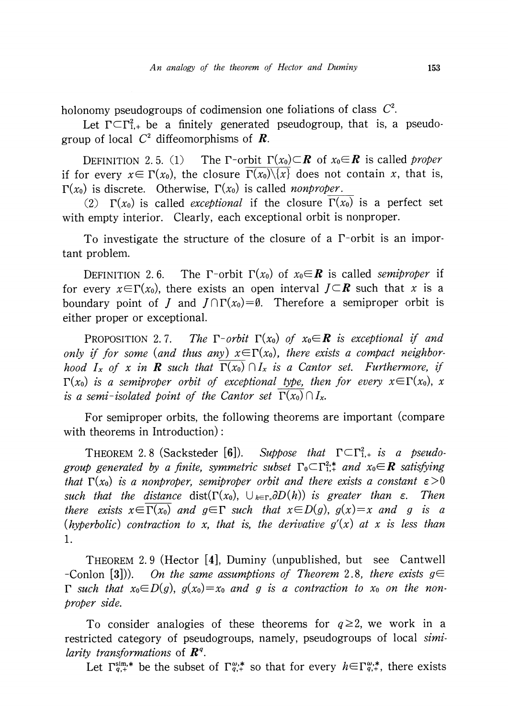holonomy pseudogroups of codimension one foliations of class  $C^{2}$ .

Let  $\Gamma\subset\Gamma_{1,+}^{2}$  be a finitely generated pseudogroup, that is, a pseudogroup of local  $C^{2}$  diffeomorphisms of **R**.

DEFINITION 2.5. (1) The  $\Gamma$ -orbit  $\Gamma(x_{0})\subset \mathbf{R}$  of  $x_{0}\in \mathbf{R}$  is called proper if for every  $x\in\Gamma(x_{0}),$  the closure  $\Gamma(x_{0})\backslash\{x\}$  does not contain x, that is,  $\Gamma(x_{0})$  is discrete. Otherwise,  $\Gamma(x_{0})$  is called nonproper.

(2)  $\Gamma(x_{0})$  is called *exceptional* if the closure  $\Gamma(x_{0})$  is a perfect set with empty interior. Clearly, each exceptional orbit is nonproper.

To investigate the structure of the closure of a  $\Gamma$ -orbit is an important problem.

DEFINITION 2.6. The  $\Gamma$ -orbit  $\Gamma(x_{0})$  of  $x_{0}\in \mathbf{R}$  is called semiproper if for every  $x{\in}\Gamma(x_{0}),$  there exists an open interval  $J{\subset}\boldsymbol R$  such that  $x$  is a boundary point of  $J$  and  $J\cap\Gamma(x_{0})=\emptyset$ . Therefore a semiproper orbit is either proper or exceptional.

PROPOSITION 2.7. The  $\Gamma$ -orbit  $\Gamma(x_{0})$  of  $x_{0}\in \mathbf{R}$  is exceptional if and only if for some (and thus an<u>y)  $x{\in}\Gamma(x_{0})$ , there exists a compact neighbor-</u> hood  $I_{x}$  of x in **R** such that  $\Gamma(x_{0})\cap I_{x}$  is a Cantor set. Furthermore, if  $\Gamma(x_{0})$  is a semiproper orbit of exceptional type, then for every  $x\!\in\!\Gamma(x_{0}),$   $x$ is a semi-isolated point of the Cantor set  $\Gamma(x_{0})\cap I_{x}$ .

For semiproper orbits, the following theorems are important (compare with theorems in Introduction):

THEOREM 2.8 (Sacksteder [6]). Suppose that  $\Gamma\subset\Gamma_{1,+}^{2}$  is a pseudogroup generated by a finite, symmetric subset  $\Gamma_{0}\subset\Gamma_{1,+}^{2,*}$  and  $x_{0}\in \mathbb{R}$  satisfying that  $\Gamma(x_{0})$  is a nonproper, semiproper orbit and there exists a constant  $\epsilon>0$ such that the distance dist $(\Gamma(x_{0}), \cup_{h\in\Gamma_{0}}\partial D(h))$  is greater than  $\varepsilon$ . Then there exists  $x\in\Gamma(x_{0})$  and  $g\in\Gamma$  such that  $x\in D(g)$ ,  $g(x)=x$  and g is a (hyperbolic) contraction to x, that is, the derivative  $g'(x)$  at x is less than 1.

THEOREM 2. <sup>9</sup> (Hector [4], Duminy (unpublished, but see Cantwell -Conlon [3])). On the same assumptions of Theorem 2.8, there exists  $g\in$  $\Gamma$  such that  $x_{0}\in D(g)$ ,  $g(x_{0})=x_{0}$  and g is a contraction to  $x_{0}$  on the nonproper side.

To consider analogies of these theorems for  $q \geq 2$ , we work in a restricted category of pseudogroups, namely, pseudogroups of local similarity transformations of  $\mathbf{R}^{q}$ .

Let  $\Gamma_{q,+}^{\text{sim},*}$  be the subset of  $\Gamma_{q,+}^{\omega,*}$  so that for every  $h\in\Gamma_{q,+}^{\omega,*}$ , there exists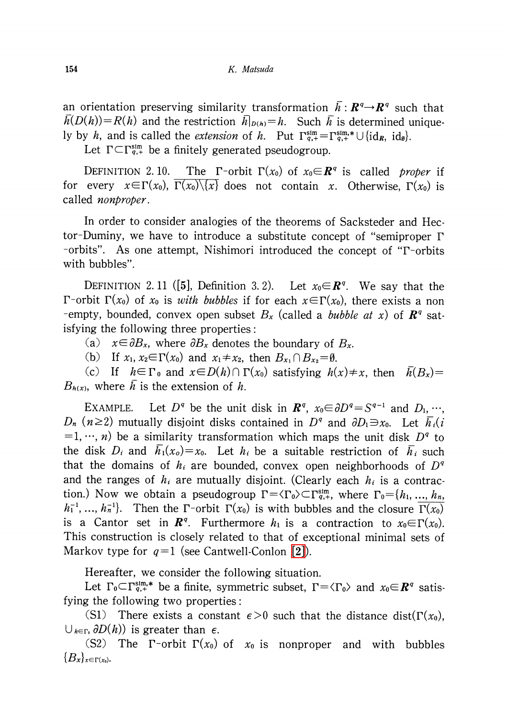an orientation preserving similarity transformation  $\overline{h}:R^{q}\rightarrow R^{q}$  such that  $h(D(h))=R(h)$  and the restriction  $h|_{D(h)}=h$ . Such  $\overline{h}$  is determined uniquely by h, and is called the *extension* of h. Put  $\Gamma_{q,+}^{\text{sim}}=\Gamma_{q,+}^{\text{sim,*}}\cup\{\text{id}_{R}, \text{id}_{\emptyset}\}.$ 

Let  $\Gamma\subset\Gamma_{q,+}^{\text{sim}}$  be a finitely generated pseudogroup.

DEFINITION 2.10. The  $\Gamma$ -orbit  $\Gamma(x_{0})$  of  $x_{0}\in \mathbb{R}^{q}$  is called proper if for every  $x\in\Gamma(x_{0}), \ \overline{\Gamma(x_{0})}\setminus\overline{\{x\}}$  does not contain x. Otherwise,  $\Gamma(x_{0})$  is called *nonproper*.

In order to consider analogies of the theorems of Sacksteder and Hector-Duminy, we have to introduce a substitute concept of "semiproper  $\Gamma$ -orbits". As one attempt, Nishimori introduced the concept of " $\Gamma$ -orbits" with bubbles".

DEFINITION 2.11 ([5], Definition 3.2). Let  $x_{0} {\in} \boldsymbol R^{q}.$  We say that the  $\Gamma$ -orbit  $\Gamma(x_{0})$  of  $x_{0}$  is *with bubbles* if for each  $x\!\in\!\Gamma(x_{0})$ , there exists a non -empty, bounded, convex open subset  $B_{\alpha}$  (called a *bubble at x)* of  $\mathbb{R}^{q}$  satisfying the following three properties:

- (a)  $x \in \partial B_{x}$ , where  $\partial B_{x}$  denotes the boundary of  $B_{x}$ .
- (b) If  $x_1, x_{2}\in\Gamma(x_0)$  and  $x_{1}\neq x_{2}$ , then  $B_{x_{1}}\cap B_{x_{2}}=\emptyset$ .

(c) If  $h\in\Gamma_{0}$  and  $x\in D(h)\cap\Gamma(x_{0})$  satisfying  $h(x)\neq x$ , then  $\overline{h}(B_{x})=$  $B_{h(x)}$ , where h is the extension of h.

EXAMPLE. Let  $D^{q}$  be the unit disk in  $\mathbf{R}^{q}$ ,  $x_{0} \in \partial D^{q}=S^{q-1}$  and  $D_{1}, \cdots$ ,  $D_{n}(n\geq 2)$  mutually disjoint disks contained in  $D^{q}$  and  $\partial D_{1}\ni x_{0}$ . Let  $\overline{h}_{i}(i)$  $=$  1, …, n) be a similarity transformation which maps the unit disk  $D^{q}$  to the disk  $D_{i}$  and  $h_{1}(x_{o})=x_{0}$ . Let  $h_{i}$  be a suitable restriction of  $\overline{h}_{i}$  such that the domains of  $h_{i}$  are bounded, convex open neighborhoods of  $D^{q}$ and the ranges of  $h_{i}$  are mutually disjoint. (Clearly each  $h_{i}$  is a contraction.) Now we obtain a pseudogroup  $\Gamma=\langle\Gamma_{0}\rangle\subset\Gamma_{q,+}^{\mathrm{sim}},$  where  $\Gamma_{0}=\{h_{1},\, ..., \,h_{n},$  $h_{1}^{-1}, ..., h_{n}^{-1}$ . Then the  $\Gamma$ -orbit  $\Gamma(x_{0})$  is with bubbles and the closure  $\Gamma(x_{0})$ is a Cantor set in  $\boldsymbol{R}^{q}$ . Furthermore  $h_{1}$  is a contraction to  $x_{0}\!\!\in\!\Gamma(x_{0})$ . This construction is closely related to that of exceptional minimal sets of Markov type for  $q=1$  (see Cantwell-Conlon [\[2\]\)](#page-7-2).

Hereafter, we consider the following situation.

Let  $\Gamma_{0}\subset\Gamma_{q,+}^{\text{sim},*}$  be a finite, symmetric subset,  $\Gamma=\langle\Gamma_{0}\rangle$  and  $x_{0}\in \mathbb{R}^{q}$  satisfying the following two properties:

(S1) There exists a constant  $\epsilon>0$  such that the distance dist( $\Gamma(x_{0})$ ),  $\bigcup_{h\in\Gamma_{0}}\partial D(h))$  is greater than  $\epsilon$ .

(S2) The  $\Gamma$ -orbit  $\Gamma(x_{0})$  of  $x_{0}$  is nonproper and with bubbles  $\{B_{x}\}_{x\in\Gamma(x_{0})}$ .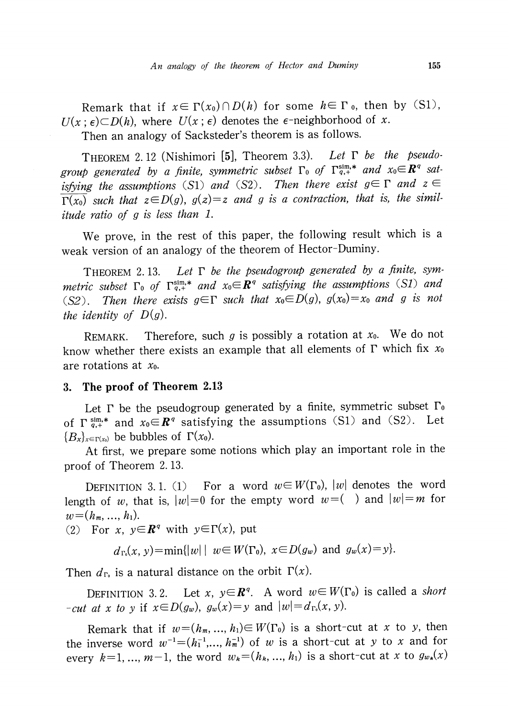Remark that if  $x\in\Gamma(x_{0})\cap D(h)$  for some  $h\in\Gamma$  o, then by (S1),  $U(x;\epsilon)\subset D(h)$ , where  $U(x;\epsilon)$  denotes the  $\epsilon^{-}$ neighborhood of x.

Then an analogy of Sacksteder's theorem is as follows.

THEOREM 2.12 (Nishimori [5], Theorem 3.3). Let  $\Gamma$  be the pseudogroup generated by a finite, symmetric subset  $\Gamma_{0}$  of  $\Gamma_{q,+}^{sim,*}$  and  $x_{0}\in \mathbb{R}^{q}$  satisfying the assumptions (S1) and (S2). Then there exist  $g\in\Gamma$  and  $z\in\Gamma$  $\overline{\Gamma(x_{0})}$  such that  $z\in D(g)$ ,  $g(z)=z$  and g is a contraction, that is, the similitude ratio of g is less than 1.

We prove, in the rest of this paper, the following result which is <sup>a</sup> weak version of an analogy of the theorem of Hector-Duminy.

THEOREM 2.13. Let  $\Gamma$  be the pseudogroup generated by a finite, symmetric subset  $\Gamma_{0}$  of  $\Gamma_{q,+}^{\text{sim},*}$  and  $x_{0}\in \mathbb{R}^{q}$  satisfying the assumptions (S1) and (S2). Then there exists  $g\in\Gamma$  such that  $x_{0}\in D(g)$ ,  $g(x_{0})=x_{0}$  and g is not the identity of  $D(g)$ .

REMARK. Therefore, such g is possibly a rotation at  $x_0$ . We do not know whether there exists an example that all elements of  $\Gamma$  which fix  $x_0$ are rotations at  $x_0$ .

## 3. The proof of Theorem 2.13

Let  $\Gamma$  be the pseudogroup generated by a finite, symmetric subset  $\Gamma_{0}$ of  $\Gamma_{q,+}^{\text{sim,*}}$  and  $x_{0}\in \mathbb{R}^{q}$  satisfying the assumptions (S1) and (S2). Let  $\{B_{x}\}_{x\in\Gamma(x_{0})}$  be bubbles of  $\Gamma(x_{0})$ .

At first, we prepare some notions which play an important role in the proof of Theorem 2. 13.

DEFINITION 3.1. (1) For a word  $w\!\in\! W(\Gamma_{0}),\ |w|$  denotes the word length of w, that is,  $|w|=0$  for the empty word  $w = ($  ) and  $|w|=m$  for  $w = (h_{m}, \ldots, h_{1}).$ 

(2) For x,  $y \in \mathbb{R}^{q}$  with  $y \in \Gamma(x)$ , put

 $d_{\Gamma_{0}}(x, y) = \min \{ |w| \mid w \in W(\Gamma_{0}), x \in D(g_{w}) \text{ and } g_{w}(x)=y \}.$ 

Then  $d_{\Gamma_0}$  is a natural distance on the orbit  $\Gamma(x)$ .

DEFINITION 3.2. Let x,  $y\in \mathbb{R}^{q}$ . A word  $w\in W(\Gamma_{0})$  is called a short -cut at x to y if  $x \in D(g_{w})$ ,  $g_{w}(x)=y$  and  $|w|=d_{\Gamma_{0}}(x, y)$ .

Remark that if  $w=(h_{m}, ..., h_{1})\in W(\Gamma_{0})$  is a short-cut at x to y, then the inverse word  $w^{-1}=(h_{1}^{-1},...,h_{m}^{-1})$  of w is a short-cut at y to x and for every  $k=1, \ldots, m-1$ , the word  $w_{k}=(h_{k}, \ldots, h_{1})$  is a short-cut at x to  $g_{w_{k}}(x)$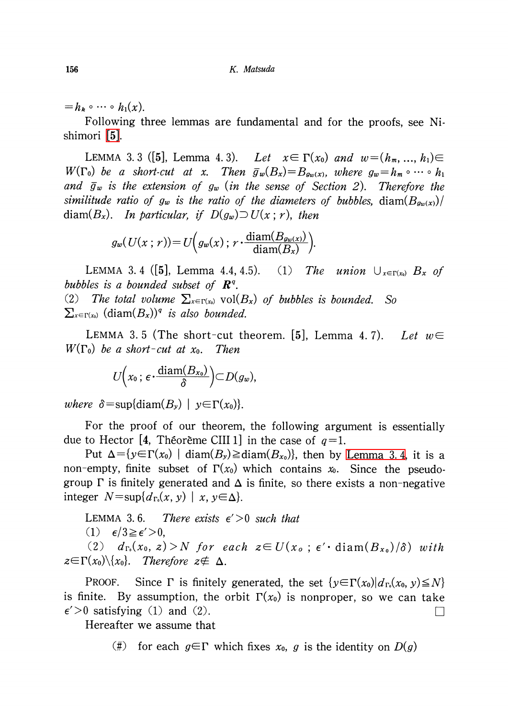$=h_{k}\circ\cdots\circ h_{1}(x).$ 

Following three lemmas are fundamental and for the proofs, see Nishimori [\[5\].](#page-7-1)

<span id="page-5-2"></span>LEMMA 3. 3 ([5], Lemma 4. 3). Let  $x\in\Gamma(x_{0})$  and  $w=(h_{m},...,h_{1})\in$  $W(\Gamma_{0})$  be a short-cut at x. Then  $\overline{g}_{w}(B_{x})=B_{g_{w}(x)}$ , where  $g_{w}=h_{m}\circ\cdots\circ h_{1}$ and  $\overline{g}_{w}$  is the extension of  $g_{w}$  (in the sense of Section 2). Therefore the similitude ratio of  $g_{w}$  is the ratio of the diameters of bubbles, diam( $B_{g_{w}(x)}$ )/ diam( $B_x$ ). In particular, if  $D(g_{w})\supset U(x; r)$ , then

$$
g_w(U(x; r)) = U\left(g_w(x); r \cdot \frac{\text{diam}(B_{gw(x)})}{\text{diam}(B_x)}\right).
$$

<span id="page-5-0"></span>LEMMA 3.4 ([5], Lemma 4.4, 4.5). (1) The union  $\bigcup_{x\in\Gamma(x_{0})}B_{x}$  of bubbles is a bounded subset of  $\bm{R}^{q}$ . (2) The total volume  $\sum_{x\in\Gamma(x_{0})}\text{vol}(B_{x})$  of bubbles is bounded. So  $\sum_{x\in\Gamma(x_{0})}$  (diam $(B_{x}))^{q}$  is also bounded.

<span id="page-5-1"></span>LEMMA 3.5 (The short-cut theorem. [5], Lemma 4.7). Let  $w\in$  $W(\Gamma_{0})$  be a short-cut at  $x_{0}$ . Then

$$
U\Big(x_0\,;\,\epsilon\cdot\frac{\mathrm{diam}(B_{x_0})}{\delta}\Big)\subset D(g_w),
$$

where  $\delta=\sup\{\mathrm{diam}(B_{y})|y\in\Gamma(x_{0})\}.$ 

For the proof of our theorem, the following argument is essentially due to Hector [4, Théorème CIII 1] in the case of  $q=1$ .

Put  $\Delta=\{y{\in}\Gamma(x_{0})|$  diam $(B_{y})\geqslant$ diam $(B_{x_{0}})\}$ , then by [Lemma](#page-5-0) 3.4, it is a non-empty, finite subset of  $\Gamma(x_{0})$  which contains x. Since the pseudogroup  $\Gamma$  is finitely generated and  $\Delta$  is finite, so there exists a non-negative integer  $N = \sup\{d_{\Gamma_{0}}(x, y) \mid x, y \in \Delta\}.$ 

LEMMA 3.6. There exists  $\epsilon' > 0$  such that (1)  $\epsilon/3 \geq \epsilon' > 0$ , (2)  $d_{\Gamma_{0}}(x_{0}, z)>N$  for each  $z\in U(x_{0}; \epsilon'\cdot \text{diam}(B_{x_{0}})/\delta)$  with  $z\in\Gamma(x_{0})\backslash\{x_{0}\}.$  Therefore  $z\notin\Delta$ .

PROOF. Since  $\Gamma$  is finitely generated, the set  $\{y\in\Gamma(x_{0})|d_{\Gamma_{0}}(x_{0}, y)\leq N\}$ is finite. By assumption, the orbit  $\Gamma(x_{0})$  is nonproper, so we can take  $\epsilon' > 0$  satisfying (1) and (2).

Hereafter we assume that

(#) for each  $g\in\Gamma$  which fixes  $x_0$ , g is the identity on  $D(g)$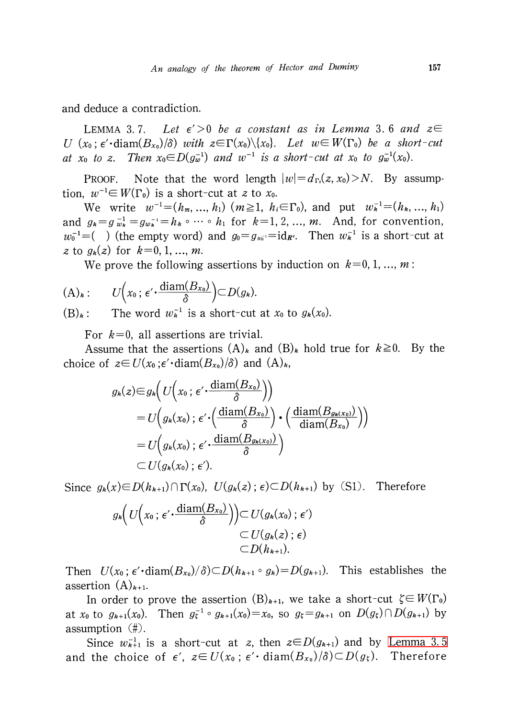and deduce a contradiction.

LEMMA 3.7. Let  $\epsilon' > 0$  be a constant as in Lemma 3.6 and  $z \in$ U  $(x_{0}$ ;  $\epsilon'$ ·diam $(B_{x_{0}})/\delta)$  with  $z\in\Gamma(x_{0})\setminus\{x_{0}\}$ . Let  $w\in W(\Gamma_{0})$  be a short-cut at x<sub>0</sub> to z. Then  $x_{0} \in D(g_{\omega}^{-1})$  and  $w^{-1}$  is a short-cut at x<sub>0</sub> to  $g_{\omega}^{-1}(x_{0})$ .

PROOF. Note that the word length  $|w|=d_{\Gamma_0}(z, x_{0})>N$ . By assumption,  $w^{-1}\in W(\Gamma_{0})$  is a short-cut at z to  $x_{0}$ .

We write  $w^{-1}=(h_{m},..., h_{1})$   $(m\geq 1, h_{i}\in\Gamma_{0})$ , and put  $w_{k}^{-1}=(h_{k}, ..., h_{1})$ and  $g_{k}=g_{w_{k}}^{-1}=g_{w_{k}}^{-1}=h_{k}\circ\cdots\circ h_{1}$  for  $k=1,2, \ldots, m$ . And, for convention,  $w_{0}^{-1}=$  (b) (the empty word) and  $g_{0}=g_{w_{0}^{-1}}=id_{R^{q}}$ . Then  $w_{k}^{-1}$  is a short-cut at z to  $g_{k}(z)$  for  $k=0, 1, ..., m$ .

We prove the following assertions by induction on  $k=0,1, \ldots, m$ :

$$
(\mathrm{A})_k: \qquad U\Big(x_0\,;\,\varepsilon'\,\cdot\,\frac{\mathrm{diam}(B_{x_0})}{\delta}\Big)\subset D(g_k).
$$

 $(B)_{k}$ : The word  $w_{k}^{-1}$  is a short-cut at  $x_{0}$  to  $g_{k}(x_{0})$ .

For  $k=0$ , all assertions are trivial.

Assume that the assertions  $(A)_{k}$  and  $(B)_{k}$  hold true for  $k \geq 0$ . By the choice of  $z \in U(x_{0};\epsilon'\cdot \text{diam}(B_{x_{0}})/\delta)$  and  $(A)_{k}$ ,

$$
g_k(z) \in g_k\left(U\left(x_0; \epsilon' \cdot \frac{\text{diam}(B_{x_0})}{\delta}\right)\right)
$$
  
=  $U\left(g_k(x_0); \epsilon' \cdot \left(\frac{\text{diam}(B_{x_0})}{\delta}\right) \cdot \left(\frac{\text{diam}(B_{g_k(x_0)})}{\text{diam}(B_{x_0})}\right)\right)$   
=  $U\left(g_k(x_0); \epsilon' \cdot \frac{\text{diam}(B_{g_k(x_0)})}{\delta}\right)$   
 $\subset U(g_k(x_0); \epsilon').$ 

Since  $g_{k}(x) \in D(h_{k+1})\cap\Gamma(x_{0}), U(g_{k}(z) ; \epsilon) \subset D(h_{k+1})$  by (S1). Therefore

$$
g_{\mathbf{k}}\Big(U\Big(x_0\,;\,\epsilon'\cdot \frac{\mathrm{diam}(B_{x_0})}{\delta}\Big)\Big)\subset U(g_{\mathbf{k}}(x_0)\,;\,\epsilon')\\\subset U(g_{\mathbf{k}}(z)\,;\,\epsilon)\\\subset D(h_{\mathbf{k}+1}).
$$

Then  $U(x_{0} ; \epsilon'\cdot \text{diam}(B_{x_0})/\delta) \subset D(h_{k+1}\circ g_{k})=D(g_{k+1})$ . This establishes the assertion  $(A)_{k+1}$ .

In order to prove the assertion  $(B)_{k+1}$ , we take a short-cut  $\zeta \in W(\Gamma_{0})$ at  $x_{0}$  to  $g_{k+1}(x_{0})$ . Then  $g_{\zeta}^{-1}\circ g_{k+1}(x_{0})=x_{0}$ , so  $g_{\zeta}=g_{k+1}$  on  $D(g_{\zeta})\cap D(g_{k+1})$  by assumption  $(\#)$ .

Since  $w_{k+1}^{-1}$  is a short-cut at z, then  $z\in D(g_{k+1})$  and by [Lemma](#page-5-1) 3.5 and the choice of  $\epsilon',$   $z\!\in\!U(x_{0} \,;\, \epsilon'\!\cdot\mathrm{diam}(B_{x_{0}})/\delta)\!\subset\!D(g_{\xi})$ . Therefore